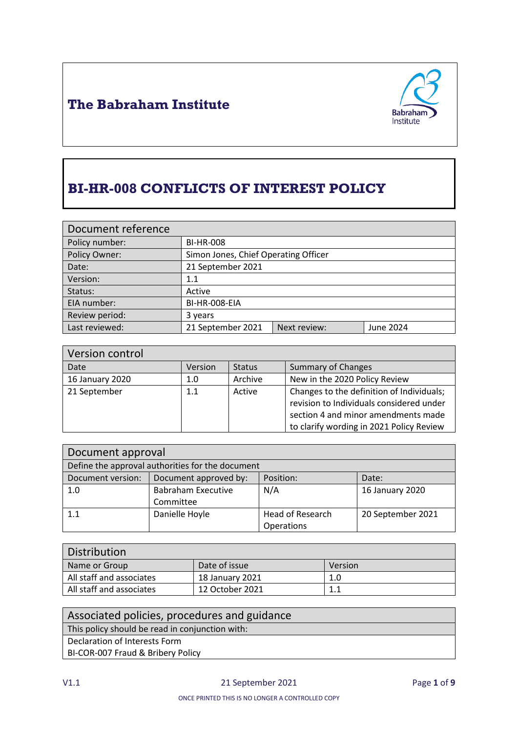



# **BI-HR-008 CONFLICTS OF INTEREST POLICY**

| Document reference                  |                                      |              |           |
|-------------------------------------|--------------------------------------|--------------|-----------|
| Policy number:                      | <b>BI-HR-008</b>                     |              |           |
| Policy Owner:                       | Simon Jones, Chief Operating Officer |              |           |
| Date:                               | 21 September 2021                    |              |           |
| Version:                            | 1.1                                  |              |           |
| Status:                             | Active                               |              |           |
| EIA number:                         | BI-HR-008-EIA                        |              |           |
| Review period:                      | 3 years                              |              |           |
| Last reviewed:<br>21 September 2021 |                                      | Next review: | June 2024 |

| Version control |         |               |                                                                                                                                                                          |
|-----------------|---------|---------------|--------------------------------------------------------------------------------------------------------------------------------------------------------------------------|
| Date            | Version | <b>Status</b> | Summary of Changes                                                                                                                                                       |
| 16 January 2020 | 1.0     | Archive       | New in the 2020 Policy Review                                                                                                                                            |
| 21 September    | 1.1     | Active        | Changes to the definition of Individuals;<br>revision to Individuals considered under<br>section 4 and minor amendments made<br>to clarify wording in 2021 Policy Review |

| Document approval                                |                           |                         |                   |
|--------------------------------------------------|---------------------------|-------------------------|-------------------|
| Define the approval authorities for the document |                           |                         |                   |
| Document version:                                | Document approved by:     | Position:               | Date:             |
| 1.0                                              | <b>Babraham Executive</b> | N/A                     | 16 January 2020   |
|                                                  | Committee                 |                         |                   |
| 1.1                                              | Danielle Hoyle            | <b>Head of Research</b> | 20 September 2021 |
|                                                  |                           | Operations              |                   |

| <b>Distribution</b>      |                 |         |
|--------------------------|-----------------|---------|
| Name or Group            | Date of issue   | Version |
| All staff and associates | 18 January 2021 | 1.0     |
| All staff and associates | 12 October 2021 |         |

#### Associated policies, procedures and guidance This policy should be read in conjunction with: Declaration of Interests Form BI-COR-007 Fraud & Bribery Policy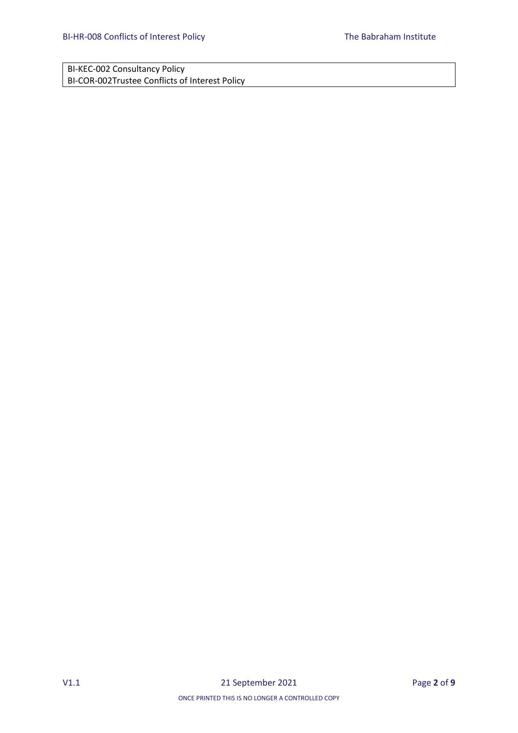BI-KEC-002 Consultancy Policy BI-COR-002Trustee Conflicts of Interest Policy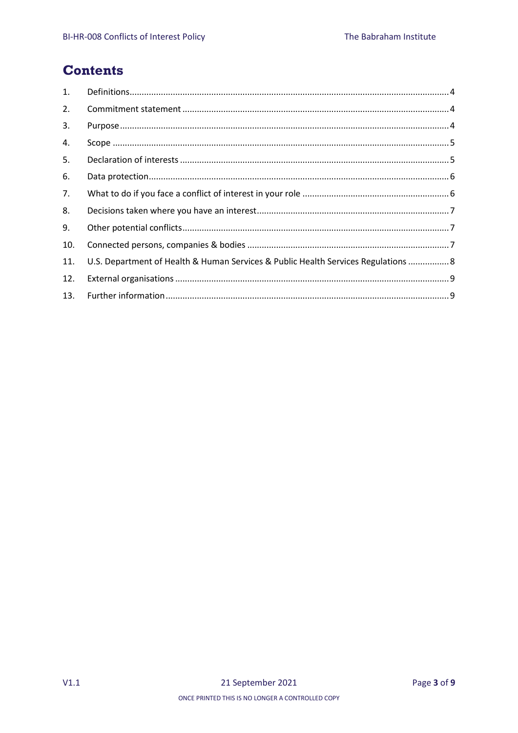### **Contents**

| 1.  |                                                                                    |  |
|-----|------------------------------------------------------------------------------------|--|
| 2.  |                                                                                    |  |
| 3.  |                                                                                    |  |
| 4.  |                                                                                    |  |
| 5.  |                                                                                    |  |
| 6.  |                                                                                    |  |
| 7.  |                                                                                    |  |
| 8.  |                                                                                    |  |
| 9.  |                                                                                    |  |
| 10. |                                                                                    |  |
| 11. | U.S. Department of Health & Human Services & Public Health Services Regulations  8 |  |
| 12. |                                                                                    |  |
| 13. |                                                                                    |  |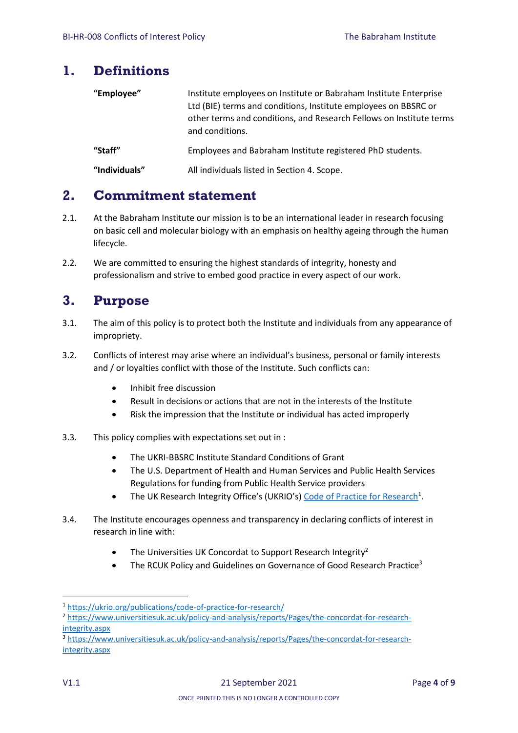#### <span id="page-3-0"></span>**1. Definitions**

| "Employee"    | Institute employees on Institute or Babraham Institute Enterprise<br>Ltd (BIE) terms and conditions, Institute employees on BBSRC or<br>other terms and conditions, and Research Fellows on Institute terms<br>and conditions. |
|---------------|--------------------------------------------------------------------------------------------------------------------------------------------------------------------------------------------------------------------------------|
| "Staff"       | Employees and Babraham Institute registered PhD students.                                                                                                                                                                      |
| "Individuals" | All individuals listed in Section 4. Scope.                                                                                                                                                                                    |

### <span id="page-3-1"></span>**2. Commitment statement**

- 2.1. At the Babraham Institute our mission is to be an international leader in research focusing on basic cell and molecular biology with an emphasis on healthy ageing through the human lifecycle.
- 2.2. We are committed to ensuring the highest standards of integrity, honesty and professionalism and strive to embed good practice in every aspect of our work.

#### <span id="page-3-2"></span>**3. Purpose**

- 3.1. The aim of this policy is to protect both the Institute and individuals from any appearance of impropriety.
- 3.2. Conflicts of interest may arise where an individual's business, personal or family interests and / or loyalties conflict with those of the Institute. Such conflicts can:
	- **•** Inhibit free discussion
	- Result in decisions or actions that are not in the interests of the Institute
	- Risk the impression that the Institute or individual has acted improperly
- 3.3. This policy complies with expectations set out in :
	- The UKRI-BBSRC Institute Standard Conditions of Grant
	- The U.S. Department of Health and Human Services and Public Health Services Regulations for funding from Public Health Service providers
	- The UK Research Integrity Office's (UKRIO's) [Code of Practice for Research](https://ukrio.org/publications/code-of-practice-for-research/)<sup>1</sup>.
- 3.4. The Institute encourages openness and transparency in declaring conflicts of interest in research in line with:
	- The Universities UK Concordat to Support Research Integrity<sup>2</sup>
	- The RCUK Policy and Guidelines on Governance of Good Research Practice<sup>3</sup>

**<sup>.</sup>** <sup>1</sup> <https://ukrio.org/publications/code-of-practice-for-research/>

<sup>2</sup> [https://www.universitiesuk.ac.uk/policy-and-analysis/reports/Pages/the-concordat-for-research](https://www.universitiesuk.ac.uk/policy-and-analysis/reports/Pages/the-concordat-for-research-integrity.aspx)[integrity.aspx](https://www.universitiesuk.ac.uk/policy-and-analysis/reports/Pages/the-concordat-for-research-integrity.aspx)

<sup>3</sup> [https://www.universitiesuk.ac.uk/policy-and-analysis/reports/Pages/the-concordat-for-research](https://www.universitiesuk.ac.uk/policy-and-analysis/reports/Pages/the-concordat-for-research-integrity.aspx)[integrity.aspx](https://www.universitiesuk.ac.uk/policy-and-analysis/reports/Pages/the-concordat-for-research-integrity.aspx)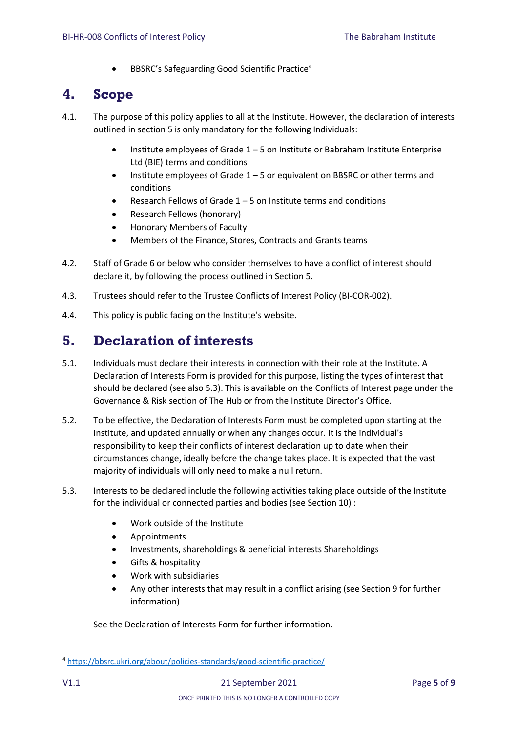BBSRC's Safeguarding Good Scientific Practice<sup>4</sup>

### <span id="page-4-0"></span>**4. Scope**

- 4.1. The purpose of this policy applies to all at the Institute. However, the declaration of interests outlined in section 5 is only mandatory for the following Individuals:
	- Institute employees of Grade 1 5 on Institute or Babraham Institute Enterprise Ltd (BIE) terms and conditions
	- **•** Institute employees of Grade  $1 5$  or equivalent on BBSRC or other terms and conditions
	- Research Fellows of Grade 1 5 on Institute terms and conditions
	- Research Fellows (honorary)
	- Honorary Members of Faculty
	- Members of the Finance, Stores, Contracts and Grants teams
- 4.2. Staff of Grade 6 or below who consider themselves to have a conflict of interest should declare it, by following the process outlined in Section 5.
- 4.3. Trustees should refer to the Trustee Conflicts of Interest Policy (BI-COR-002).
- 4.4. This policy is public facing on the Institute's website.

### <span id="page-4-1"></span>**5. Declaration of interests**

- 5.1. Individuals must declare their interests in connection with their role at the Institute. A Declaration of Interests Form is provided for this purpose, listing the types of interest that should be declared (see also 5.3). This is available on the Conflicts of Interest page under the Governance & Risk section of The Hub or from the Institute Director's Office.
- 5.2. To be effective, the Declaration of Interests Form must be completed upon starting at the Institute, and updated annually or when any changes occur. It is the individual's responsibility to keep their conflicts of interest declaration up to date when their circumstances change, ideally before the change takes place. It is expected that the vast majority of individuals will only need to make a null return.
- 5.3. Interests to be declared include the following activities taking place outside of the Institute for the individual or connected parties and bodies (see Section 10) :
	- Work outside of the Institute
	- Appointments
	- Investments, shareholdings & beneficial interests Shareholdings
	- Gifts & hospitality
	- Work with subsidiaries
	- Any other interests that may result in a conflict arising (see Section 9 for further information)

See the Declaration of Interests Form for further information.

**.** 

<sup>4</sup> <https://bbsrc.ukri.org/about/policies-standards/good-scientific-practice/>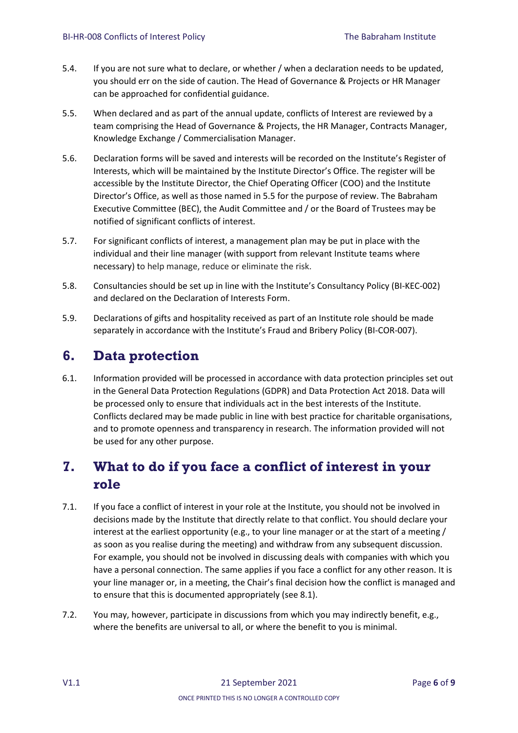- 5.4. If you are not sure what to declare, or whether / when a declaration needs to be updated, you should err on the side of caution. The Head of Governance & Projects or HR Manager can be approached for confidential guidance.
- 5.5. When declared and as part of the annual update, conflicts of Interest are reviewed by a team comprising the Head of Governance & Projects, the HR Manager, Contracts Manager, Knowledge Exchange / Commercialisation Manager.
- 5.6. Declaration forms will be saved and interests will be recorded on the Institute's Register of Interests, which will be maintained by the Institute Director's Office. The register will be accessible by the Institute Director, the Chief Operating Officer (COO) and the Institute Director's Office, as well as those named in 5.5 for the purpose of review. The Babraham Executive Committee (BEC), the Audit Committee and / or the Board of Trustees may be notified of significant conflicts of interest.
- 5.7. For significant conflicts of interest, a management plan may be put in place with the individual and their line manager (with support from relevant Institute teams where necessary) to help manage, reduce or eliminate the risk.
- 5.8. Consultancies should be set up in line with the Institute's Consultancy Policy (BI-KEC-002) and declared on the Declaration of Interests Form.
- 5.9. Declarations of gifts and hospitality received as part of an Institute role should be made separately in accordance with the Institute's Fraud and Bribery Policy (BI-COR-007).

### <span id="page-5-0"></span>**6. Data protection**

6.1. Information provided will be processed in accordance with data protection principles set out in the General Data Protection Regulations (GDPR) and Data Protection Act 2018. Data will be processed only to ensure that individuals act in the best interests of the Institute. Conflicts declared may be made public in line with best practice for charitable organisations, and to promote openness and transparency in research. The information provided will not be used for any other purpose.

## <span id="page-5-1"></span>**7. What to do if you face a conflict of interest in your role**

- 7.1. If you face a conflict of interest in your role at the Institute, you should not be involved in decisions made by the Institute that directly relate to that conflict. You should declare your interest at the earliest opportunity (e.g., to your line manager or at the start of a meeting / as soon as you realise during the meeting) and withdraw from any subsequent discussion. For example, you should not be involved in discussing deals with companies with which you have a personal connection. The same applies if you face a conflict for any other reason. It is your line manager or, in a meeting, the Chair's final decision how the conflict is managed and to ensure that this is documented appropriately (see 8.1).
- 7.2. You may, however, participate in discussions from which you may indirectly benefit, e.g., where the benefits are universal to all, or where the benefit to you is minimal.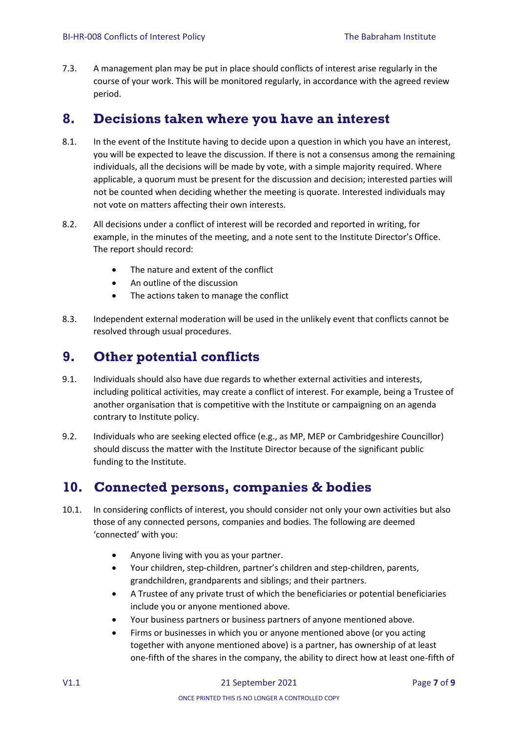7.3. A management plan may be put in place should conflicts of interest arise regularly in the course of your work. This will be monitored regularly, in accordance with the agreed review period.

#### <span id="page-6-0"></span>**8. Decisions taken where you have an interest**

- 8.1. In the event of the Institute having to decide upon a question in which you have an interest, you will be expected to leave the discussion. If there is not a consensus among the remaining individuals, all the decisions will be made by vote, with a simple majority required. Where applicable, a quorum must be present for the discussion and decision; interested parties will not be counted when deciding whether the meeting is quorate. Interested individuals may not vote on matters affecting their own interests.
- 8.2. All decisions under a conflict of interest will be recorded and reported in writing, for example, in the minutes of the meeting, and a note sent to the Institute Director's Office. The report should record:
	- The nature and extent of the conflict
	- An outline of the discussion
	- The actions taken to manage the conflict
- 8.3. Independent external moderation will be used in the unlikely event that conflicts cannot be resolved through usual procedures.

#### <span id="page-6-1"></span>**9. Other potential conflicts**

- 9.1. Individuals should also have due regards to whether external activities and interests, including political activities, may create a conflict of interest. For example, being a Trustee of another organisation that is competitive with the Institute or campaigning on an agenda contrary to Institute policy.
- 9.2. Individuals who are seeking elected office (e.g., as MP, MEP or Cambridgeshire Councillor) should discuss the matter with the Institute Director because of the significant public funding to the Institute.

### <span id="page-6-2"></span>**10. Connected persons, companies & bodies**

- 10.1. In considering conflicts of interest, you should consider not only your own activities but also those of any connected persons, companies and bodies. The following are deemed 'connected' with you:
	- Anyone living with you as your partner.
	- Your children, step-children, partner's children and step-children, parents, grandchildren, grandparents and siblings; and their partners.
	- A Trustee of any private trust of which the beneficiaries or potential beneficiaries include you or anyone mentioned above.
	- Your business partners or business partners of anyone mentioned above.
	- Firms or businesses in which you or anyone mentioned above (or you acting together with anyone mentioned above) is a partner, has ownership of at least one-fifth of the shares in the company, the ability to direct how at least one-fifth of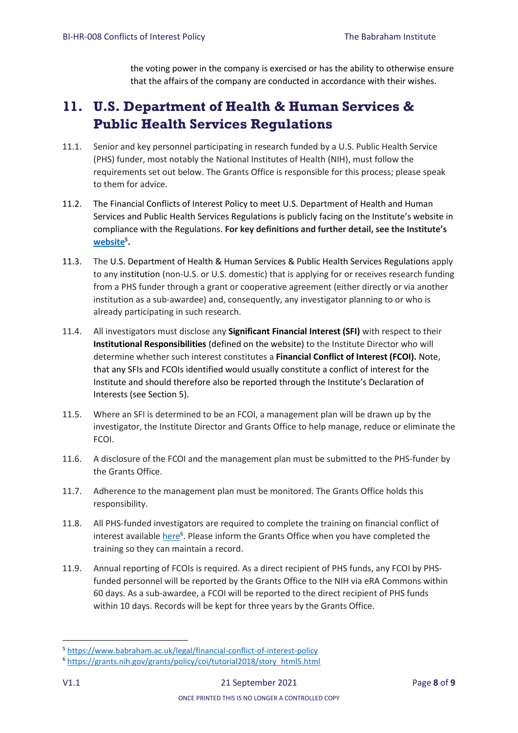the voting power in the company is exercised or has the ability to otherwise ensure that the affairs of the company are conducted in accordance with their wishes.

# <span id="page-7-0"></span>**11. U.S. Department of Health & Human Services & Public Health Services Regulations**

- 11.1. Senior and key personnel participating in research funded by a U.S. Public Health Service (PHS) funder, most notably the National Institutes of Health (NIH), must follow the requirements set out below. The Grants Office is responsible for this process; please speak to them for advice.
- 11.2. The Financial Conflicts of Interest Policy to meet U.S. Department of Health and Human Services and Public Health Services Regulations is publicly facing on the Institute's website in compliance with the Regulations. **For key definitions and further detail, see the Institute's [website](https://www.babraham.ac.uk/legal/financial-conflict-of-interest-policy)<sup>5</sup> .**
- 11.3. The U.S. Department of Health & Human Services & Public Health Services Regulations apply to any institution (non-U.S. or U.S. domestic) that is applying for or receives research funding from a PHS funder through a grant or cooperative agreement (either directly or via another institution as a sub-awardee) and, consequently, any investigator planning to or who is already participating in such research.
- 11.4. All investigators must disclose any **Significant Financial Interest (SFI)** with respect to their **Institutional Responsibilities** (defined on the website) to the Institute Director who will determine whether such interest constitutes a **Financial Conflict of Interest (FCOI).** Note, that any SFIs and FCOIs identified would usually constitute a conflict of interest for the Institute and should therefore also be reported through the Institute's Declaration of Interests (see Section 5).
- 11.5. Where an SFI is determined to be an FCOI, a management plan will be drawn up by the investigator, the Institute Director and Grants Office to help manage, reduce or eliminate the FCOI.
- 11.6. A disclosure of the FCOI and the management plan must be submitted to the PHS-funder by the Grants Office.
- 11.7. Adherence to the management plan must be monitored. The Grants Office holds this responsibility.
- 11.8. All PHS-funded investigators are required to complete the training on financial conflict of interest available *here*<sup>6</sup>. Please inform the Grants Office when you have completed the training so they can maintain a record.
- 11.9. Annual reporting of FCOIs is required. As a direct recipient of PHS funds, any FCOI by PHSfunded personnel will be reported by the Grants Office to the NIH via eRA Commons within 60 days. As a sub-awardee, a FCOI will be reported to the direct recipient of PHS funds within 10 days. Records will be kept for three years by the Grants Office.

1

<sup>5</sup> <https://www.babraham.ac.uk/legal/financial-conflict-of-interest-policy>

<sup>6</sup> [https://grants.nih.gov/grants/policy/coi/tutorial2018/story\\_html5.html](https://grants.nih.gov/grants/policy/coi/tutorial2018/story_html5.html)